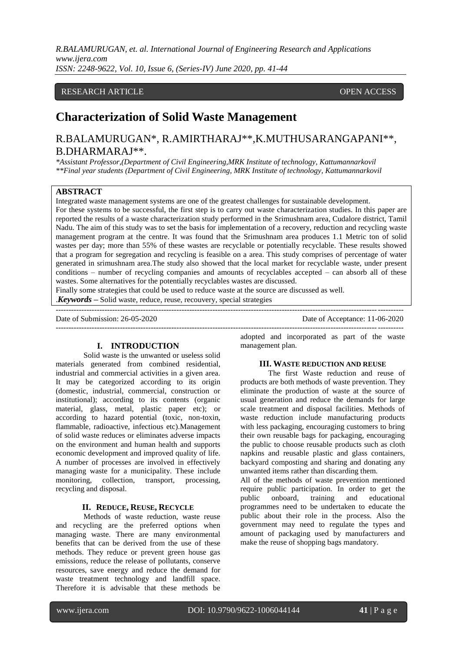## RESEARCH ARTICLE **CONSERVERS** OPEN ACCESS

# **Characterization of Solid Waste Management**

# R.BALAMURUGAN\*, R.AMIRTHARAJ\*\*,K.MUTHUSARANGAPANI\*\*, B.DHARMARAJ\*\*.

*\*Assistant Professor,(Department of Civil Engineering,MRK Institute of technology, Kattumannarkovil \*\*Final year students (Department of Civil Engineering, MRK Institute of technology, Kattumannarkovil*

## **ABSTRACT**

Integrated waste management systems are one of the greatest challenges for sustainable development. For these systems to be successful, the first step is to carry out waste characterization studies. In this paper are reported the results of a waste characterization study performed in the Srimushnam area, Cudalore district, Tamil

Nadu. The aim of this study was to set the basis for implementation of a recovery, reduction and recycling waste management program at the centre. It was found that the Srimushnam area produces 1.1 Metric ton of solid wastes per day; more than 55% of these wastes are recyclable or potentially recyclable. These results showed that a program for segregation and recycling is feasible on a area. This study comprises of percentage of water generated in srimushnam area.The study also showed that the local market for recyclable waste, under present conditions – number of recycling companies and amounts of recyclables accepted – can absorb all of these wastes. Some alternatives for the potentially recyclables wastes are discussed.

---------------------------------------------------------------------------------------------------------------------------------------

---------------------------------------------------------------------------------------------------------------------------------------

Finally some strategies that could be used to reduce waste at the source are discussed as well.

.*Keywords* **–** Solid waste, reduce, reuse, recouvery, special strategies

Date of Submission: 26-05-2020 Date of Acceptance: 11-06-2020

## **I. INTRODUCTION**

Solid waste is the unwanted or useless solid materials generated from combined residential, industrial and commercial activities in a given area. It may be categorized according to its origin (domestic, industrial, commercial, construction or institutional); according to its contents (organic material, glass, metal, plastic paper etc); or according to hazard potential (toxic, non-toxin, flammable, radioactive, infectious etc).Management of solid waste reduces or eliminates adverse impacts on the environment and human health and supports economic development and improved quality of life. A number of processes are involved in effectively managing waste for a municipality. These include monitoring, collection, transport, processing, recycling and disposal.

## **II. REDUCE, REUSE, RECYCLE**

Methods of waste reduction, waste reuse and recycling are the preferred options when managing waste. There are many environmental benefits that can be derived from the use of these methods. They reduce or prevent green house gas emissions, reduce the release of pollutants, conserve resources, save energy and reduce the demand for waste treatment technology and landfill space. Therefore it is advisable that these methods be

adopted and incorporated as part of the waste management plan.

#### **III. WASTE REDUCTION AND REUSE**

The first Waste reduction and reuse of products are both methods of waste prevention. They eliminate the production of waste at the source of usual generation and reduce the demands for large scale treatment and disposal facilities. Methods of waste reduction include manufacturing products with less packaging, encouraging customers to bring their own reusable bags for packaging, encouraging the public to choose reusable products such as cloth napkins and reusable plastic and glass containers, backyard composting and sharing and donating any unwanted items rather than discarding them.

All of the methods of waste prevention mentioned require public participation. In order to get the public onboard, training and educational programmes need to be undertaken to educate the public about their role in the process. Also the government may need to regulate the types and amount of packaging used by manufacturers and make the reuse of shopping bags mandatory.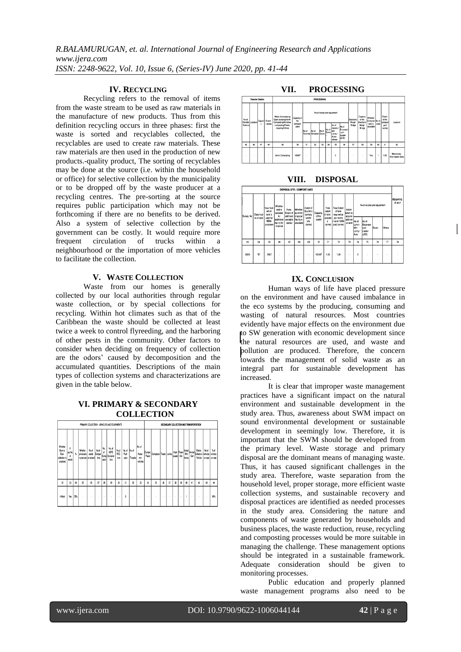## **IV. RECYCLING**

Recycling refers to the removal of items from the waste stream to be used as raw materials in the manufacture of new products. Thus from this definition recycling occurs in three phases: first the waste is sorted and recyclables collected, the recyclables are used to create raw materials. These raw materials are then used in the production of new products.-quality product, The sorting of recyclables may be done at the source (i.e. within the household or office) for selective collection by the municipality or to be dropped off by the waste producer at a recycling centres. The pre-sorting at the source requires public participation which may not be forthcoming if there are no benefits to be derived. Also a system of selective collection by the government can be costly. It would require more frequent circulation of trucks within a neighbourhood or the importation of more vehicles to facilitate the collection.

#### **V. WASTE COLLECTION**

Waste from our homes is generally collected by our local authorities through regular waste collection, or by special collections for recycling. Within hot climates such as that of the Caribbean the waste should be collected at least twice a week to control flyreeding, and the harboring of other pests in the community. Other factors to consider when deciding on frequency of collection are the odors' caused by decomposition and the accumulated quantities. Descriptions of the main types of collection systems and characterizations are given in the table below.

## **VI. PRIMARY & SECONDARY COLLECTION**

| PRIMARY COLLECTION - VEHICLES AND EQUIPMENTS             |                       |                 |                                                  |                |                         |                  |                                          |                            |                         |                     | SECONDARY COLLECTION AND TRANSPORTATION |                  |                           |   |    |                      |      |                      |                             |                                                   |                  |                  |
|----------------------------------------------------------|-----------------------|-----------------|--------------------------------------------------|----------------|-------------------------|------------------|------------------------------------------|----------------------------|-------------------------|---------------------|-----------------------------------------|------------------|---------------------------|---|----|----------------------|------|----------------------|-----------------------------|---------------------------------------------------|------------------|------------------|
| Whether<br>Door to<br>Door<br>collection is<br>practiced | yes.No.<br>d<br>wards | ĸ               | Whether<br>privatsatio<br>n practiced privatised | No of<br>wards | No.of<br>Dumper<br>bins | No.<br>d<br>ador | No. of<br>HDPE<br>Comp Container<br>bins | No.of<br><b>ACC</b><br>bas | No. of<br>Push<br>carts | No. of<br>Tricycles | No. of<br>Autos/<br>nin<br>veh cles     | Dumper<br>Placer | Compactor Tractor Lorries |   |    | Hook Power<br>Loader | file | Mni<br>lonies        | - Mutos/<br>Animal J<br>Can | Debris<br>Collect on vehicles vehicles<br>Vehicle | No of<br>cn road | %d<br>cn road    |
| $\boldsymbol{\eta}$                                      | $\overline{\Omega}$   | $\overline{24}$ | 25                                               | 26             | 27                      | 28               | 29                                       | 30                         | 31                      | 32                  | 33                                      | 34               | 35                        | X | 37 | 38                   | 39   | $\blacktriangleleft$ | л                           | $\boldsymbol{v}$                                  | 43               | $\boldsymbol{u}$ |
| 4 Ward                                                   | Yes                   | 35%             | ٠                                                | ٠              | ×                       | $\mathbf{r}$     | ٠                                        | ٠                          | 6                       | ×                   | ×                                       | ٠                | ×                         | × | ٠  | ٠                    | ٠    | ٠                    | ٠                           | ٠                                                 | ٠                | 80%              |

## **VII. PROCESSING**



**VIII. DISPOSAL**

|            | DISPOSAL SITE / COMPOST YARD |                                                                     |                                                                                  |                                                                    |                                                |                                                                   |                                |                                                        |                                                                                          |                                                       |                                            |                                              |        |               |                   |
|------------|------------------------------|---------------------------------------------------------------------|----------------------------------------------------------------------------------|--------------------------------------------------------------------|------------------------------------------------|-------------------------------------------------------------------|--------------------------------|--------------------------------------------------------|------------------------------------------------------------------------------------------|-------------------------------------------------------|--------------------------------------------|----------------------------------------------|--------|---------------|-------------------|
| Survey No. | Class ficat                  | Year from<br>wh ch<br>land is<br>used for<br><b>MSW</b><br>purposes | Whether<br>land is<br>available<br>for<br>additional<br>fac I ty for<br>d sposal | If yes.<br>Extent of<br>addl land d sposal<br>ava lable<br>(acres) | Whether<br>scentic<br>fac lity is<br>ava lable | Extent of<br>Scentific<br>sanitary<br>landfill<br>site<br>(acres) | Capacity<br>of the<br>landfill | Total<br>extent<br>of land<br>availabi<br>٠<br>(acres) | <b>Total Extent</b><br>of land<br>required as<br>per norms<br>acre/10000<br>pop) (acres) | Action<br>Itaken to<br>acquire<br>addition<br>al land | No of ve cles and equipment                |                                              |        |               | REMARKS<br>IF ANY |
|            | on of land                   |                                                                     |                                                                                  |                                                                    |                                                |                                                                   |                                |                                                        |                                                                                          |                                                       | No of<br>Lorry /<br>lMni<br>Lorrry<br>Auto | No of<br>Excavator<br>cum<br>Loader<br>(JCB) | Dozer  | <b>Others</b> |                   |
| 63         | 64                           | 65                                                                  | 66                                                                               | 67                                                                 | 68                                             | 69                                                                | 70                             | 71                                                     | $\overline{12}$                                                                          | 73                                                    | 74                                         | 75                                           | 76     | 77            | 78                |
| 200/6      | 'n.                          | 2007                                                                | ٠                                                                                | ٠                                                                  | $\sim$                                         |                                                                   | 100 MT                         | 1.20                                                   | 1.20                                                                                     | $\overline{a}$                                        | $\overline{\phantom{a}}$                   | ٠                                            | $\sim$ | ٠             |                   |

#### **IX. CONCLUSION**

Human ways of life have placed pressure on the environment and have caused imbalance in the eco systems by the producing, consuming and wasting of natural resources. Most countries evidently have major effects on the environment due to SW generation with economic development since the natural resources are used, and waste and pollution are produced. Therefore, the concern towards the management of solid waste as an integral part for sustainable development has increased.

It is clear that improper waste management practices have a significant impact on the natural environment and sustainable development in the study area. Thus, awareness about SWM impact on sound environmental development or sustainable development in seemingly low. Therefore, it is important that the SWM should be developed from the primary level. Waste storage and primary disposal are the dominant means of managing waste. Thus, it has caused significant challenges in the study area. Therefore, waste separation from the household level, proper storage, more efficient waste collection systems, and sustainable recovery and disposal practices are identified as needed processes in the study area. Considering the nature and components of waste generated by households and business places, the waste reduction, reuse, recycling and composting processes would be more suitable in managing the challenge. These management options should be integrated in a sustainable framework. Adequate consideration should be given to monitoring processes.

Public education and properly planned waste management programs also need to be

www.ijera.com DOI: 10.9790/9622-1006044144 **42** | P a g e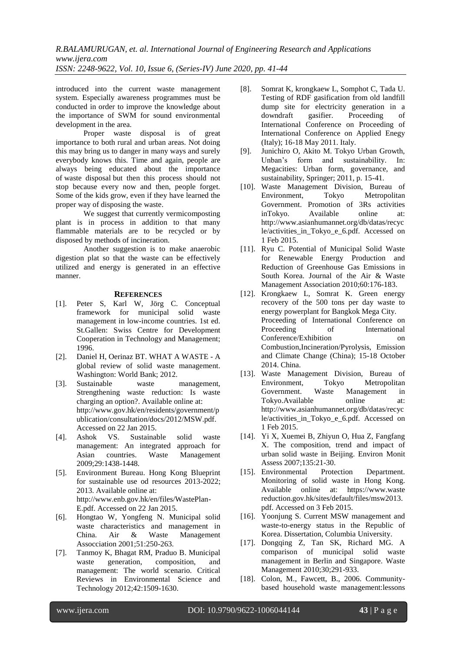introduced into the current waste management system. Especially awareness programmes must be conducted in order to improve the knowledge about the importance of SWM for sound environmental development in the area.

Proper waste disposal is of great importance to both rural and urban areas. Not doing this may bring us to danger in many ways and surely everybody knows this. Time and again, people are always being educated about the importance of [waste disposal](http://www.trashahaulics.com/) but then this process should not stop because every now and then, people forget. Some of the kids grow, even if they have learned the proper way of disposing the waste.

We suggest that currently vermicomposting plant is in process in addition to that many flammable materials are to be recycled or by disposed by methods of incineration.

Another suggestion is to make anaerobic digestion plat so that the waste can be effectively utilized and energy is generated in an effective manner.

## **REFERENCES**

- [1]. Peter S, Karl W, Jörg C. Conceptual framework for municipal solid waste management in low-income countries. 1st ed. St.Gallen: Swiss Centre for Development Cooperation in Technology and Management; 1996.
- [2]. Daniel H, Oerinaz BT. WHAT A WASTE A global review of solid waste management. Washington: World Bank; 2012.
- [3]. Sustainable waste management, Strengthening waste reduction: Is waste charging an option?. Available online at: http://www.gov.hk/en/residents/government/p ublication/consultation/docs/2012/MSW.pdf. Accessed on 22 Jan 2015.
- [4]. Ashok VS. Sustainable solid waste management: An integrated approach for Asian countries. Waste Management 2009;29:1438-1448.
- [5]. Environment Bureau. Hong Kong Blueprint for sustainable use od resources 2013-2022; 2013. Available online at: http://www.enb.gov.hk/en/files/WastePlan-E.pdf. Accessed on 22 Jan 2015.
- [6]. Hongtao W, Yongfeng N. Municipal solid waste characteristics and management in China. Air & Waste Management Assocciation 2001;51:250-263.
- [7]. Tanmoy K, Bhagat RM, Praduo B. Municipal waste generation, composition, and management: The world scenario. Critical Reviews in Environmental Science and Technology 2012;42:1509-1630.
- [8]. Somrat K, krongkaew L, Somphot C, Tada U. Testing of RDF gasification from old landfill dump site for electricity generation in a<br>downdraft gasifier. Proceeding of downdraft gasifier. Proceeding of International Conference on Proceeding of International Conference on Applied Enegy (Italy); 16-18 May 2011. Italy.
- [9]. Junichiro O, Akito M. Tokyo Urban Growth, Unban's form and sustainability. In: Megacities: Urban form, governance, and sustainability, Springer; 2011, p. 15-41.
- [10]. Waste Management Division, Bureau of Environment, Tokyo Metropolitan Government. Promotion of 3Rs activities inTokyo. Available online at: http://www.asianhumannet.org/db/datas/recyc le/activities\_in\_Tokyo\_e\_6.pdf. Accessed on 1 Feb 2015.
- [11]. Ryu C. Potential of Municipal Solid Waste for Renewable Energy Production and Reduction of Greenhouse Gas Emissions in South Korea. Journal of the Air & Waste Management Association 2010;60:176-183.
- [12]. Krongkaew L, Somrat K. Green energy recovery of the 500 tons per day waste to energy powerplant for Bangkok Mega City. Proceeding of International Conference on Proceeding of International Conference/Exhibition on Combustion,Incineration/Pyrolysis, Emission and Climate Change (China); 15-18 October 2014. China.
- [13]. Waste Management Division, Bureau of Environment, Tokyo Metropolitan Government. Waste Management in Tokyo.Available online at: http://www.asianhumannet.org/db/datas/recyc le/activities\_in\_Tokyo\_e\_6.pdf. Accessed on 1 Feb 2015.
- [14]. Yi X, Xuemei B, Zhiyun O, Hua Z, Fangfang X. The composition, trend and impact of urban solid waste in Beijing. Environ Monit Assess 2007;135:21-30.
- [15]. Environmental Protection Department. Monitoring of solid waste in Hong Kong. Available online at: [https://www.waste](https://www.waste/) reduction.gov.hk/sites/default/files/msw2013. pdf. Accessed on 3 Feb 2015.
- [16]. Yoonjung S. Current MSW management and waste-to-energy status in the Republic of Korea. Dissertation, Columbia University.
- [17]. Dongqing Z, Tan SK, Richard MG. A comparison of municipal solid waste management in Berlin and Singapore. Waste Management 2010;30;291-933.
- [18]. Colon, M., Fawcett, B., 2006. Communitybased household waste management:lessons